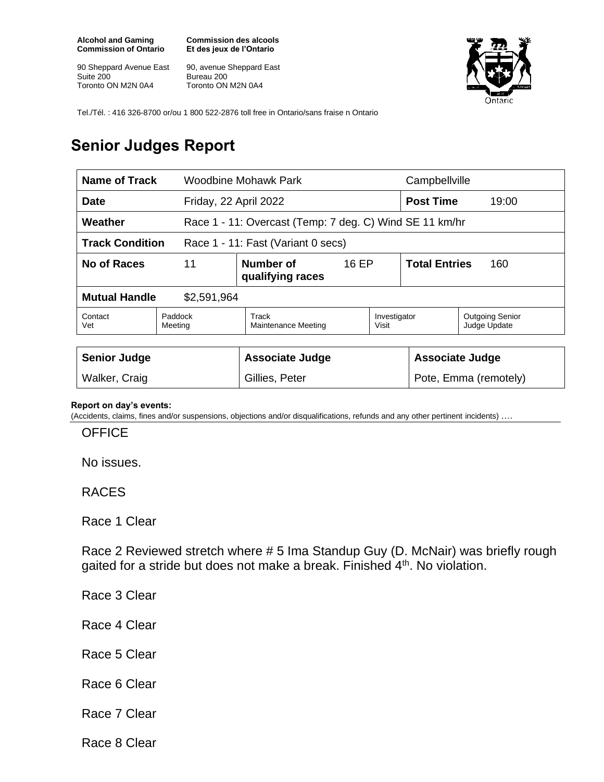**Alcohol and Gaming Commission of Ontario**

90 Sheppard Avenue East Suite 200 Toronto ON M2N 0A4

**Commission des alcools Et des jeux de l'Ontario**

90, avenue Sheppard East Bureau 200 Toronto ON M2N 0A4



Tel./Tél. : 416 326-8700 or/ou 1 800 522-2876 toll free in Ontario/sans fraise n Ontario

## **Senior Judges Report**

| <b>Name of Track</b>                                         |                                              | Woodbine Mohawk Park                                    |  |                             | Campbellville          |                                        |
|--------------------------------------------------------------|----------------------------------------------|---------------------------------------------------------|--|-----------------------------|------------------------|----------------------------------------|
| <b>Date</b><br>Friday, 22 April 2022                         |                                              |                                                         |  | <b>Post Time</b>            | 19:00                  |                                        |
| Weather                                                      |                                              | Race 1 - 11: Overcast (Temp: 7 deg. C) Wind SE 11 km/hr |  |                             |                        |                                        |
| <b>Track Condition</b><br>Race 1 - 11: Fast (Variant 0 secs) |                                              |                                                         |  |                             |                        |                                        |
| No of Races                                                  | 11<br>Number of<br>16 EP<br>qualifying races |                                                         |  | <b>Total Entries</b><br>160 |                        |                                        |
| <b>Mutual Handle</b><br>\$2,591,964                          |                                              |                                                         |  |                             |                        |                                        |
| Contact<br>Vet                                               | Paddock<br>Meeting                           | Track<br>Maintenance Meeting                            |  | Investigator<br>Visit       |                        | <b>Outgoing Senior</b><br>Judge Update |
|                                                              |                                              |                                                         |  |                             |                        |                                        |
| <b>Senior Judge</b>                                          |                                              | <b>Associate Judge</b>                                  |  |                             | <b>Associate Judge</b> |                                        |
| Walker, Craig                                                |                                              | Gillies, Peter                                          |  | Pote, Emma (remotely)       |                        |                                        |

## **Report on day's events:**

(Accidents, claims, fines and/or suspensions, objections and/or disqualifications, refunds and any other pertinent incidents) ….

**OFFICE** 

No issues.

RACES

Race 1 Clear

Race 2 Reviewed stretch where # 5 Ima Standup Guy (D. McNair) was briefly rough gaited for a stride but does not make a break. Finished 4<sup>th</sup>. No violation.

Race 3 Clear

Race 4 Clear

- Race 5 Clear
- Race 6 Clear
- Race 7 Clear

Race 8 Clear